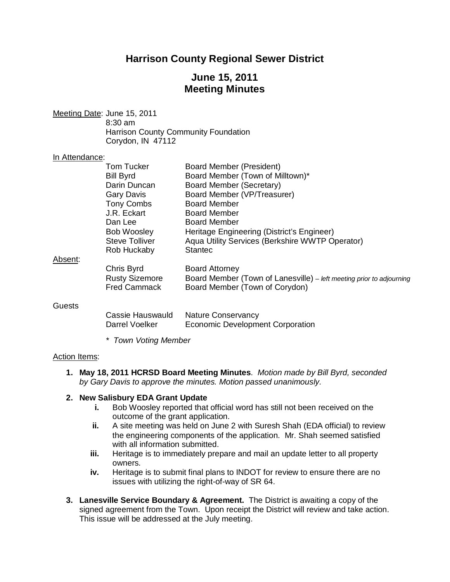# **Harrison County Regional Sewer District**

# **June 15, 2011 Meeting Minutes**

Meeting Date: June 15, 2011 8:30 am Harrison County Community Foundation Corydon, IN 47112

#### In Attendance:

|         | Tom Tucker            | Board Member (President)                                             |
|---------|-----------------------|----------------------------------------------------------------------|
|         | <b>Bill Byrd</b>      | Board Member (Town of Milltown)*                                     |
|         | Darin Duncan          | <b>Board Member (Secretary)</b>                                      |
|         | Gary Davis            | Board Member (VP/Treasurer)                                          |
|         | <b>Tony Combs</b>     | <b>Board Member</b>                                                  |
|         | J.R. Eckart           | Board Member                                                         |
|         | Dan Lee               | Board Member                                                         |
|         | <b>Bob Woosley</b>    | Heritage Engineering (District's Engineer)                           |
|         | <b>Steve Tolliver</b> | Aqua Utility Services (Berkshire WWTP Operator)                      |
|         | Rob Huckaby           | <b>Stantec</b>                                                       |
| Absent: |                       |                                                                      |
|         | Chris Byrd            | <b>Board Attorney</b>                                                |
|         | <b>Rusty Sizemore</b> | Board Member (Town of Lanesville) – left meeting prior to adjourning |
|         | <b>Fred Cammack</b>   | Board Member (Town of Corydon)                                       |
| Guests  |                       |                                                                      |
|         | Cassie Hauswauld      | <b>Nature Conservancy</b>                                            |
|         | Darrel Voelker        | Economic Development Corporation                                     |

*\* Town Voting Member*

#### Action Items:

**1. May 18, 2011 HCRSD Board Meeting Minutes**. *Motion made by Bill Byrd, seconded by Gary Davis to approve the minutes. Motion passed unanimously.*

### **2. New Salisbury EDA Grant Update**

- **i.** Bob Woosley reported that official word has still not been received on the outcome of the grant application.
- **ii.** A site meeting was held on June 2 with Suresh Shah (EDA official) to review the engineering components of the application. Mr. Shah seemed satisfied with all information submitted.
- **iii.** Heritage is to immediately prepare and mail an update letter to all property owners.
- **iv.** Heritage is to submit final plans to INDOT for review to ensure there are no issues with utilizing the right-of-way of SR 64.
- **3. Lanesville Service Boundary & Agreement.** The District is awaiting a copy of the signed agreement from the Town. Upon receipt the District will review and take action. This issue will be addressed at the July meeting.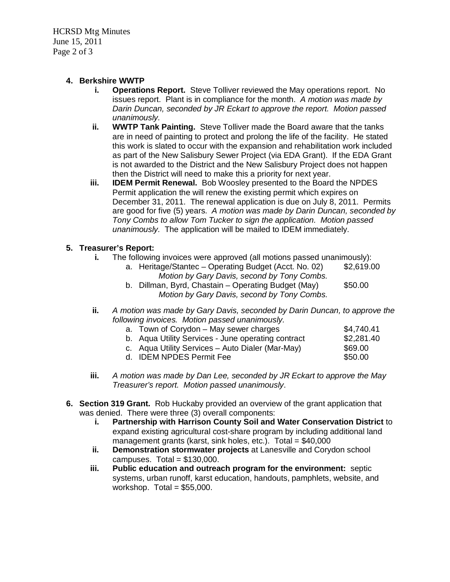HCRSD Mtg Minutes June 15, 2011 Page 2 of 3

## **4. Berkshire WWTP**

- **i. Operations Report.** Steve Tolliver reviewed the May operations report. No issues report. Plant is in compliance for the month. *A motion was made by Darin Duncan, seconded by JR Eckart to approve the report. Motion passed unanimously.*
- **ii. WWTP Tank Painting.** Steve Tolliver made the Board aware that the tanks are in need of painting to protect and prolong the life of the facility. He stated this work is slated to occur with the expansion and rehabilitation work included as part of the New Salisbury Sewer Project (via EDA Grant). If the EDA Grant is not awarded to the District and the New Salisbury Project does not happen then the District will need to make this a priority for next year.
- **iii. IDEM Permit Renewal.** Bob Woosley presented to the Board the NPDES Permit application the will renew the existing permit which expires on December 31, 2011. The renewal application is due on July 8, 2011. Permits are good for five (5) years. *A motion was made by Darin Duncan, seconded by Tony Combs to allow Tom Tucker to sign the application. Motion passed unanimously.* The application will be mailed to IDEM immediately.

## **5. Treasurer's Report:**

**i.** The following invoices were approved (all motions passed unanimously):

| a. Heritage/Stantec – Operating Budget (Acct. No. 02) | \$2,619.00           |
|-------------------------------------------------------|----------------------|
| Motion by Gary Davis, second by Tony Combs.           |                      |
|                                                       | $\sim$ $\sim$ $\sim$ |

- b. Dillman, Byrd, Chastain Operating Budget (May) \$50.00 *Motion by Gary Davis, second by Tony Combs.*
- **ii.** *A motion was made by Gary Davis, seconded by Darin Duncan, to approve the following invoices. Motion passed unanimously.*

| a. Town of Corydon – May sewer charges             | \$4,740.41 |
|----------------------------------------------------|------------|
| b. Agua Utility Services - June operating contract | \$2,281.40 |
| c. Agua Utility Services – Auto Dialer (Mar-May)   | \$69.00    |
| d. IDEM NPDES Permit Fee                           | \$50.00    |

- **iii.** *A motion was made by Dan Lee, seconded by JR Eckart to approve the May Treasurer's report. Motion passed unanimously*.
- **6. Section 319 Grant.** Rob Huckaby provided an overview of the grant application that was denied. There were three (3) overall components:
	- **i. Partnership with Harrison County Soil and Water Conservation District** to expand existing agricultural cost-share program by including additional land management grants (karst, sink holes, etc.). Total =  $$40,000$
	- **ii. Demonstration stormwater projects** at Lanesville and Corydon school campuses. Total  $= $130,000$ .
	- **iii. Public education and outreach program for the environment:** septic systems, urban runoff, karst education, handouts, pamphlets, website, and workshop. Total =  $$55,000$ .